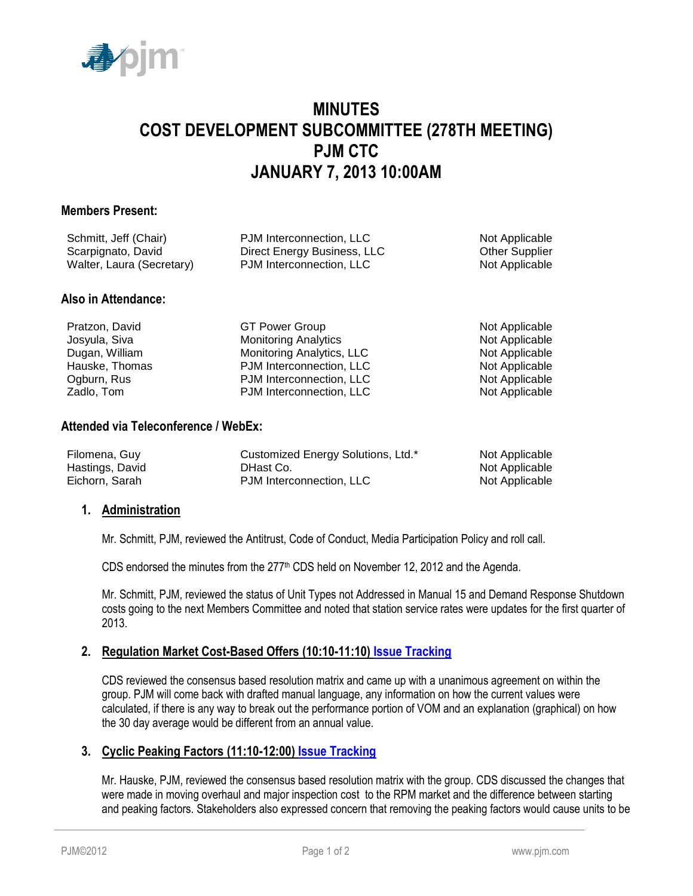

# **MINUTES COST DEVELOPMENT SUBCOMMITTEE (278TH MEETING) PJM CTC JANUARY 7, 2013 10:00AM**

#### **Members Present:**

| Schmitt, Jeff (Chair)     | PJM Interconnection, LLC    | Not Applicable        |
|---------------------------|-----------------------------|-----------------------|
| Scarpignato, David        | Direct Energy Business, LLC | <b>Other Supplier</b> |
| Walter, Laura (Secretary) | PJM Interconnection, LLC    | Not Applicable        |
|                           |                             |                       |

#### **Also in Attendance:**

Pratzon, David **GT Power Group** CGT Power Group Not Applicable Josyula, Siva **Monitoring Analytics** Not Applicable Not Applicable Dugan, William **Monitoring Analytics, LLC** Not Applicable Hauske, Thomas **PJM Interconnection, LLC** Not Applicable Ogburn, Rus **PJM Interconnection, LLC** Not Applicable Zadlo, Tom PJM Interconnection, LLC Not Applicable

#### **Attended via Teleconference / WebEx:**

| Filomena, Guy   | Customized Energy Solutions, Ltd.* | Not Applicable |
|-----------------|------------------------------------|----------------|
| Hastings, David | DHast Co.                          | Not Applicable |
| Eichorn, Sarah  | PJM Interconnection, LLC           | Not Applicable |

# **1. Administration**

Mr. Schmitt, PJM, reviewed the Antitrust, Code of Conduct, Media Participation Policy and roll call.

CDS endorsed the minutes from the  $277<sup>th</sup>$  CDS held on November 12, 2012 and the Agenda.

Mr. Schmitt, PJM, reviewed the status of Unit Types not Addressed in Manual 15 and Demand Response Shutdown costs going to the next Members Committee and noted that station service rates were updates for the first quarter of 2013.

# **2. Regulation Market Cost-Based Offers (10:10-11:10) [Issue Tracking](http://pjm.com/committees-and-groups/issue-tracking/issue-tracking-details.aspx?Issue=%7bF3983AAC-20D0-4ADB-A4D9-0CCAE8AF5A8C%7d)**

CDS reviewed the consensus based resolution matrix and came up with a unanimous agreement on within the group. PJM will come back with drafted manual language, any information on how the current values were calculated, if there is any way to break out the performance portion of VOM and an explanation (graphical) on how the 30 day average would be different from an annual value.

# **3. Cyclic Peaking Factors (11:10-12:00) [Issue Tracking](http://pjm.com/committees-and-groups/issue-tracking/issue-tracking-details.aspx?Issue=%7b271B9B61-2DB7-4D21-8C58-20324835B7D2%7d)**

Mr. Hauske, PJM, reviewed the consensus based resolution matrix with the group. CDS discussed the changes that were made in moving overhaul and major inspection cost to the RPM market and the difference between starting and peaking factors. Stakeholders also expressed concern that removing the peaking factors would cause units to be